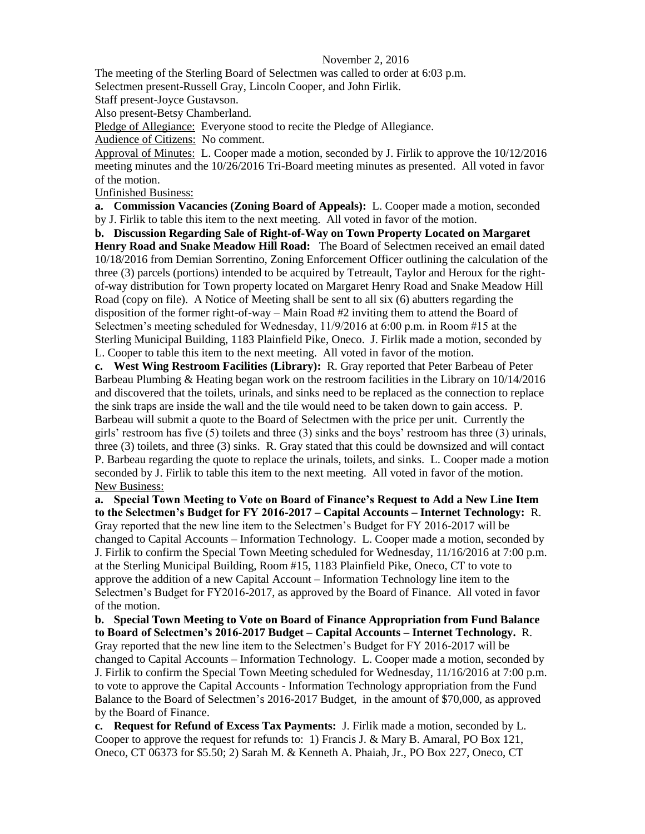## November 2, 2016

The meeting of the Sterling Board of Selectmen was called to order at 6:03 p.m.

Selectmen present-Russell Gray, Lincoln Cooper, and John Firlik.

Staff present-Joyce Gustavson.

Also present-Betsy Chamberland.

Pledge of Allegiance: Everyone stood to recite the Pledge of Allegiance.

Audience of Citizens: No comment.

Approval of Minutes: L. Cooper made a motion, seconded by J. Firlik to approve the 10/12/2016 meeting minutes and the 10/26/2016 Tri-Board meeting minutes as presented. All voted in favor of the motion.

Unfinished Business:

**a. Commission Vacancies (Zoning Board of Appeals):** L. Cooper made a motion, seconded by J. Firlik to table this item to the next meeting. All voted in favor of the motion.

**b. Discussion Regarding Sale of Right-of-Way on Town Property Located on Margaret Henry Road and Snake Meadow Hill Road:** The Board of Selectmen received an email dated 10/18/2016 from Demian Sorrentino, Zoning Enforcement Officer outlining the calculation of the three (3) parcels (portions) intended to be acquired by Tetreault, Taylor and Heroux for the rightof-way distribution for Town property located on Margaret Henry Road and Snake Meadow Hill Road (copy on file). A Notice of Meeting shall be sent to all six (6) abutters regarding the disposition of the former right-of-way – Main Road #2 inviting them to attend the Board of Selectmen's meeting scheduled for Wednesday, 11/9/2016 at 6:00 p.m. in Room #15 at the Sterling Municipal Building, 1183 Plainfield Pike, Oneco.J. Firlik made a motion, seconded by L. Cooper to table this item to the next meeting. All voted in favor of the motion.

**c. West Wing Restroom Facilities (Library):** R. Gray reported that Peter Barbeau of Peter Barbeau Plumbing & Heating began work on the restroom facilities in the Library on 10/14/2016 and discovered that the toilets, urinals, and sinks need to be replaced as the connection to replace the sink traps are inside the wall and the tile would need to be taken down to gain access. P. Barbeau will submit a quote to the Board of Selectmen with the price per unit. Currently the girls' restroom has five (5) toilets and three (3) sinks and the boys' restroom has three (3) urinals, three (3) toilets, and three (3) sinks. R. Gray stated that this could be downsized and will contact P. Barbeau regarding the quote to replace the urinals, toilets, and sinks. L. Cooper made a motion seconded by J. Firlik to table this item to the next meeting. All voted in favor of the motion. New Business:

**a. Special Town Meeting to Vote on Board of Finance's Request to Add a New Line Item to the Selectmen's Budget for FY 2016-2017 – Capital Accounts – Internet Technology:** R. Gray reported that the new line item to the Selectmen's Budget for FY 2016-2017 will be changed to Capital Accounts – Information Technology. L. Cooper made a motion, seconded by J. Firlik to confirm the Special Town Meeting scheduled for Wednesday, 11/16/2016 at 7:00 p.m. at the Sterling Municipal Building, Room #15, 1183 Plainfield Pike, Oneco, CT to vote to approve the addition of a new Capital Account – Information Technology line item to the Selectmen's Budget for FY2016-2017, as approved by the Board of Finance. All voted in favor of the motion.

**b. Special Town Meeting to Vote on Board of Finance Appropriation from Fund Balance to Board of Selectmen's 2016-2017 Budget – Capital Accounts – Internet Technology.** R. Gray reported that the new line item to the Selectmen's Budget for FY 2016-2017 will be changed to Capital Accounts – Information Technology. L. Cooper made a motion, seconded by J. Firlik to confirm the Special Town Meeting scheduled for Wednesday, 11/16/2016 at 7:00 p.m. to vote to approve the Capital Accounts - Information Technology appropriation from the Fund Balance to the Board of Selectmen's 2016-2017 Budget, in the amount of \$70,000, as approved by the Board of Finance.

**c. Request for Refund of Excess Tax Payments:** J. Firlik made a motion, seconded by L. Cooper to approve the request for refunds to: 1) Francis J. & Mary B. Amaral, PO Box 121, Oneco, CT 06373 for \$5.50; 2) Sarah M. & Kenneth A. Phaiah, Jr., PO Box 227, Oneco, CT